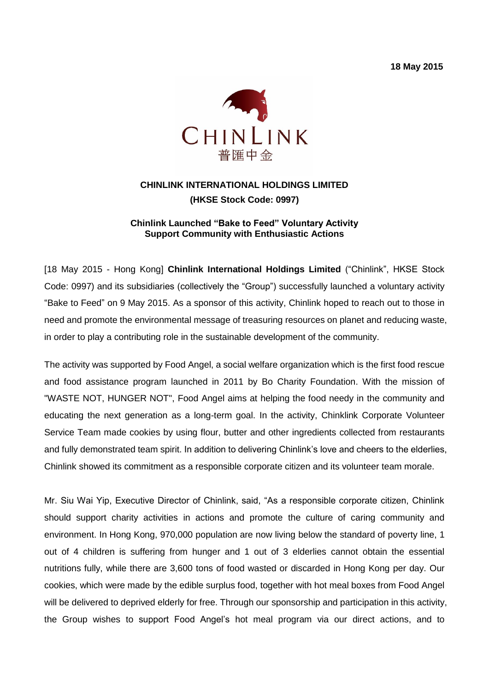**18 May 2015**



# **CHINLINK INTERNATIONAL HOLDINGS LIMITED (HKSE Stock Code: 0997)**

#### **Chinlink Launched "Bake to Feed" Voluntary Activity Support Community with Enthusiastic Actions**

[18 May 2015 - Hong Kong] **Chinlink International Holdings Limited** ("Chinlink", HKSE Stock Code: 0997) and its subsidiaries (collectively the "Group") successfully launched a voluntary activity "Bake to Feed" on 9 May 2015. As a sponsor of this activity, Chinlink hoped to reach out to those in need and promote the environmental message of treasuring resources on planet and reducing waste, in order to play a contributing role in the sustainable development of the community.

The activity was supported by Food Angel, a social welfare organization which is the first food rescue and food assistance program launched in 2011 by Bo Charity Foundation. With the mission of "WASTE NOT, HUNGER NOT", Food Angel aims at helping the food needy in the community and educating the next generation as a long-term goal. In the activity, Chinklink Corporate Volunteer Service Team made cookies by using flour, butter and other ingredients collected from restaurants and fully demonstrated team spirit. In addition to delivering Chinlink's love and cheers to the elderlies, Chinlink showed its commitment as a responsible corporate citizen and its volunteer team morale.

Mr. Siu Wai Yip, Executive Director of Chinlink, said, "As a responsible corporate citizen, Chinlink should support charity activities in actions and promote the culture of caring community and environment. In Hong Kong, 970,000 population are now living below the standard of poverty line, 1 out of 4 children is suffering from hunger and 1 out of 3 elderlies cannot obtain the essential nutritions fully, while there are 3,600 tons of food wasted or discarded in Hong Kong per day. Our cookies, which were made by the edible surplus food, together with hot meal boxes from Food Angel will be delivered to deprived elderly for free. Through our sponsorship and participation in this activity, the Group wishes to support Food Angel's hot meal program via our direct actions, and to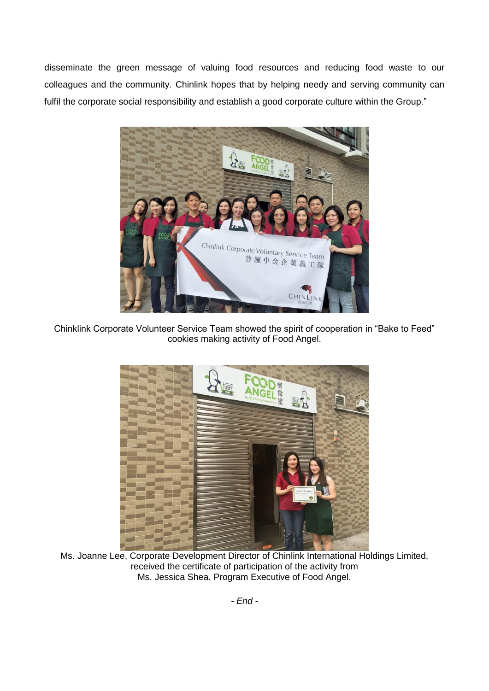disseminate the green message of valuing food resources and reducing food waste to our colleagues and the community. Chinlink hopes that by helping needy and serving community can fulfil the corporate social responsibility and establish a good corporate culture within the Group."



Chinklink Corporate Volunteer Service Team showed the spirit of cooperation in "Bake to Feed" cookies making activity of Food Angel.



Ms. Joanne Lee, Corporate Development Director of Chinlink International Holdings Limited, received the certificate of participation of the activity from Ms. Jessica Shea, Program Executive of Food Angel.